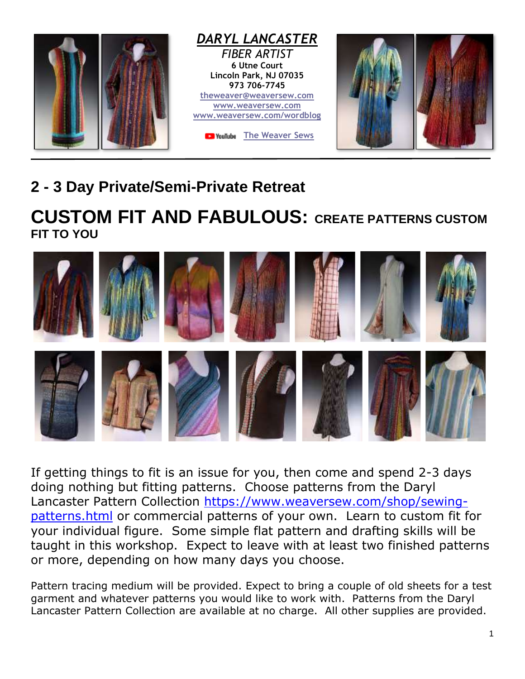

## **2 - 3 Day Private/Semi-Private Retreat**

## **CUSTOM FIT AND FABULOUS: CREATE PATTERNS CUSTOM FIT TO YOU**



If getting things to fit is an issue for you, then come and spend 2-3 days doing nothing but fitting patterns. Choose patterns from the Daryl Lancaster Pattern Collection [https://www.weaversew.com/shop/sewing](https://www.weaversew.com/shop/sewing-patterns.html)[patterns.html](https://www.weaversew.com/shop/sewing-patterns.html) or commercial patterns of your own. Learn to custom fit for your individual figure. Some simple flat pattern and drafting skills will be taught in this workshop. Expect to leave with at least two finished patterns or more, depending on how many days you choose.

Pattern tracing medium will be provided. Expect to bring a couple of old sheets for a test garment and whatever patterns you would like to work with. Patterns from the Daryl Lancaster Pattern Collection are available at no charge. All other supplies are provided.